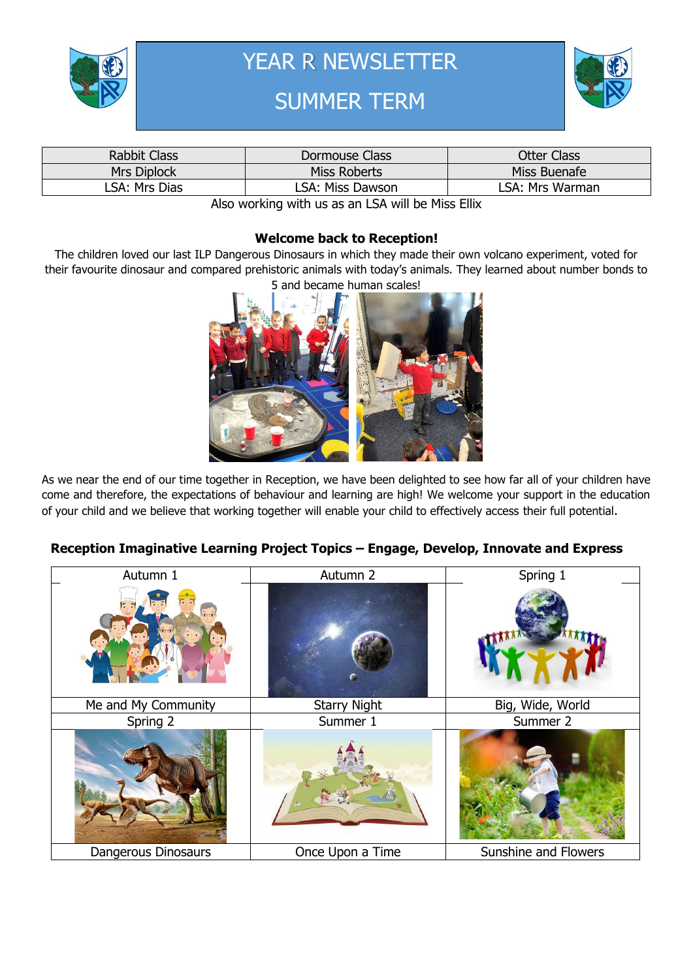

YEAR R NEWSLETTER

# SUMMER TERM



| <b>Rabbit Class</b> | Dormouse Class   | Otter Class     |
|---------------------|------------------|-----------------|
| Mrs Diplock         | Miss Roberts     | Miss Buenafe    |
| LSA: Mrs Dias       | LSA: Miss Dawson | LSA: Mrs Warman |

Also working with us as an LSA will be Miss Ellix

#### **Welcome back to Reception!**

The children loved our last ILP Dangerous Dinosaurs in which they made their own volcano experiment, voted for their favourite dinosaur and compared prehistoric animals with today's animals. They learned about number bonds to 5 and became human scales!



As we near the end of our time together in Reception, we have been delighted to see how far all of your children have come and therefore, the expectations of behaviour and learning are high! We welcome your support in the education of your child and we believe that working together will enable your child to effectively access their full potential.

## **Reception Imaginative Learning Project Topics – Engage, Develop, Innovate and Express**

| Autumn 1            | Autumn 2            | Spring 1             |  |
|---------------------|---------------------|----------------------|--|
|                     |                     |                      |  |
| Me and My Community | <b>Starry Night</b> | Big, Wide, World     |  |
| Spring 2            | Summer 1            | Summer 2             |  |
|                     |                     |                      |  |
| Dangerous Dinosaurs | Once Upon a Time    | Sunshine and Flowers |  |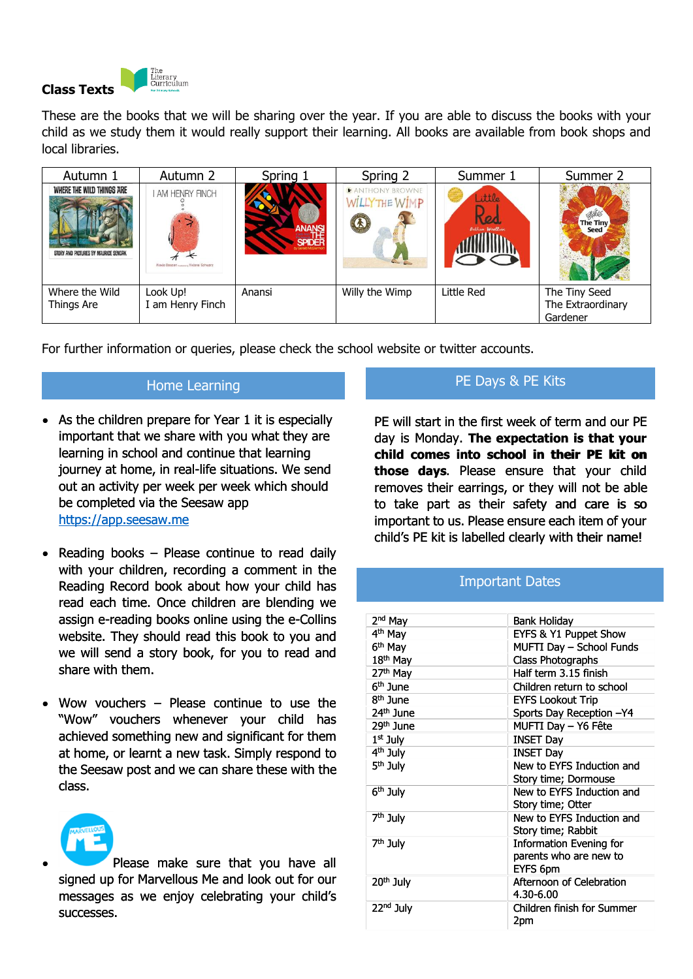

These are the books that we will be sharing over the year. If you are able to discuss the books with your child as we study them it would really support their learning. All books are available from book shops and local libraries.

| Autumn 1                                                          | Autumn 2                                                 | Spring 1                       | Spring 2                                                                  | Summer 1                 | Summer 2                                       |
|-------------------------------------------------------------------|----------------------------------------------------------|--------------------------------|---------------------------------------------------------------------------|--------------------------|------------------------------------------------|
| WHERE THE WILD THINGS ARE<br>STORY AND PICTURES BY MAURICE SENDAK | I AM HENRY FINCH<br>Alexis Deacon masses Viviane Schwarz | <b>SPIDE</b><br>Gerald McDermo | <b>PANTHONY BROWNE</b><br>WILLYTHE WIMP<br>$\Omega$<br><b>All Address</b> | ittle<br>Bethan Woolfvin | The Tiny<br>Seed                               |
| Where the Wild<br>Things Are                                      | Look Up!<br>I am Henry Finch                             | Anansi                         | Willy the Wimp                                                            | Little Red               | The Tiny Seed<br>The Extraordinary<br>Gardener |

For further information or queries, please check the school website or twitter accounts.

### Home Learning

- As the children prepare for Year 1 it is especially important that we share with you what they are learning in school and continue that learning journey at home, in real-life situations. We send out an activity per week per week which should be completed via the Seesaw app [https://app.seesaw.me](https://app.seesaw.me/)
- Reading books Please continue to read daily with your children, recording a comment in the Reading Record book about how your child has read each time. Once children are blending we assign e-reading books online using the e-Collins website. They should read this book to you and we will send a story book, for you to read and share with them.
- Wow vouchers Please continue to use the "Wow" vouchers whenever your child has achieved something new and significant for them at home, or learnt a new task. Simply respond to the Seesaw post and we can share these with the class.



 Please make sure that you have all signed up for Marvellous Me and look out for our messages as we enjoy celebrating your child's successes.

#### PE Days & PE Kits

PE will start in the first week of term and our PE day is Monday. **The expectation is that your child comes into school in their PE kit on those days**. Please ensure that your child removes their earrings, or they will not be able to take part as their safety and care is so important to us. Please ensure each item of your child's PE kit is labelled clearly with their name!

| continue that learning<br>al-life situations. We send<br>k per week which should<br>Seesaw app<br>se continue to read daily<br>cording a comment in the                                                                               | child comes into school in their PE kit on<br>those days. Please ensure that your child<br>removes their earrings, or they will not be able<br>to take part as their safety and care is so<br>important to us. Please ensure each item of your<br>child's PE kit is labelled clearly with their name! |                                                                                                                                                                                                                    |  |
|---------------------------------------------------------------------------------------------------------------------------------------------------------------------------------------------------------------------------------------|-------------------------------------------------------------------------------------------------------------------------------------------------------------------------------------------------------------------------------------------------------------------------------------------------------|--------------------------------------------------------------------------------------------------------------------------------------------------------------------------------------------------------------------|--|
| about how your child has<br>children are blending we                                                                                                                                                                                  | <b>Important Dates</b>                                                                                                                                                                                                                                                                                |                                                                                                                                                                                                                    |  |
| s online using the e-Collins<br>read this book to you and<br>book, for you to read and                                                                                                                                                | 2 <sup>nd</sup> May<br>4 <sup>th</sup> May<br>6 <sup>th</sup> May<br>18 <sup>th</sup> May<br>27 <sup>th</sup> May<br>6 <sup>th</sup> June                                                                                                                                                             | <b>Bank Holiday</b><br>EYFS & Y1 Puppet Show<br>MUFTI Day - School Funds<br><b>Class Photographs</b><br>Half term 3.15 finish<br>Children return to school                                                         |  |
| ase continue to use the<br>nenever your child<br>has<br>ew and significant for them<br>ew task. Simply respond to<br>e can share these with the<br>sure that you have all<br>us Me and look out for our<br>y celebrating your child's | 8 <sup>th</sup> June<br>24 <sup>th</sup> June<br>29th June<br>$1st$ July<br>4 <sup>th</sup> July<br>5 <sup>th</sup> July                                                                                                                                                                              | <b>EYFS Lookout Trip</b><br>Sports Day Reception -Y4<br>MUFTI Day - Y6 Fête<br><b>INSET Day</b><br><b>INSET Day</b><br>New to EYFS Induction and<br>Story time; Dormouse                                           |  |
|                                                                                                                                                                                                                                       | 6 <sup>th</sup> July<br>7 <sup>th</sup> July<br>7 <sup>th</sup> July<br>20 <sup>th</sup> July                                                                                                                                                                                                         | New to EYFS Induction and<br>Story time; Otter<br>New to EYFS Induction and<br>Story time; Rabbit<br><b>Information Evening for</b><br>parents who are new to<br>EYFS 6pm<br>Afternoon of Celebration<br>4.30-6.00 |  |
|                                                                                                                                                                                                                                       | 22 <sup>nd</sup> July                                                                                                                                                                                                                                                                                 | Children finish for Summer<br>2pm                                                                                                                                                                                  |  |
|                                                                                                                                                                                                                                       |                                                                                                                                                                                                                                                                                                       |                                                                                                                                                                                                                    |  |